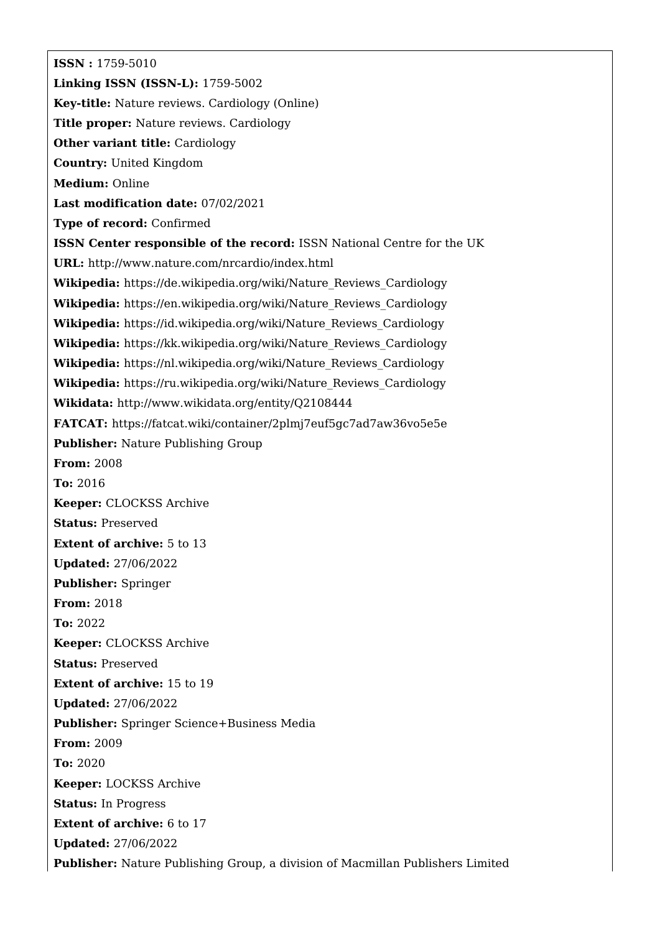**ISSN :** 1759-5010 **Linking ISSN (ISSN-L):** 1759-5002 **Key-title:** Nature reviews. Cardiology (Online) **Title proper:** Nature reviews. Cardiology **Other variant title:** Cardiology **Country:** United Kingdom **Medium:** Online **Last modification date:** 07/02/2021 **Type of record:** Confirmed **ISSN Center responsible of the record:** ISSN National Centre for the UK **URL:** <http://www.nature.com/nrcardio/index.html> **Wikipedia:** [https://de.wikipedia.org/wiki/Nature\\_Reviews\\_Cardiology](https://de.wikipedia.org/wiki/Nature_Reviews_Cardiology) **Wikipedia:** [https://en.wikipedia.org/wiki/Nature\\_Reviews\\_Cardiology](https://en.wikipedia.org/wiki/Nature_Reviews_Cardiology) **Wikipedia:** [https://id.wikipedia.org/wiki/Nature\\_Reviews\\_Cardiology](https://id.wikipedia.org/wiki/Nature_Reviews_Cardiology) **Wikipedia:** [https://kk.wikipedia.org/wiki/Nature\\_Reviews\\_Cardiology](https://kk.wikipedia.org/wiki/Nature_Reviews_Cardiology) **Wikipedia:** [https://nl.wikipedia.org/wiki/Nature\\_Reviews\\_Cardiology](https://nl.wikipedia.org/wiki/Nature_Reviews_Cardiology) **Wikipedia:** [https://ru.wikipedia.org/wiki/Nature\\_Reviews\\_Cardiology](https://ru.wikipedia.org/wiki/Nature_Reviews_Cardiology) **Wikidata:** <http://www.wikidata.org/entity/Q2108444> **FATCAT:** <https://fatcat.wiki/container/2plmj7euf5gc7ad7aw36vo5e5e> **Publisher:** Nature Publishing Group **From:** 2008 **To:** 2016 **Keeper:** CLOCKSS Archive **Status:** Preserved **Extent of archive:** 5 to 13 **Updated:** 27/06/2022 **Publisher:** Springer **From:** 2018 **To:** 2022 **Keeper:** CLOCKSS Archive **Status:** Preserved **Extent of archive:** 15 to 19 **Updated:** 27/06/2022 **Publisher:** Springer Science+Business Media **From:** 2009 **To:** 2020 **Keeper:** LOCKSS Archive **Status:** In Progress **Extent of archive:** 6 to 17 **Updated:** 27/06/2022 **Publisher:** Nature Publishing Group, a division of Macmillan Publishers Limited